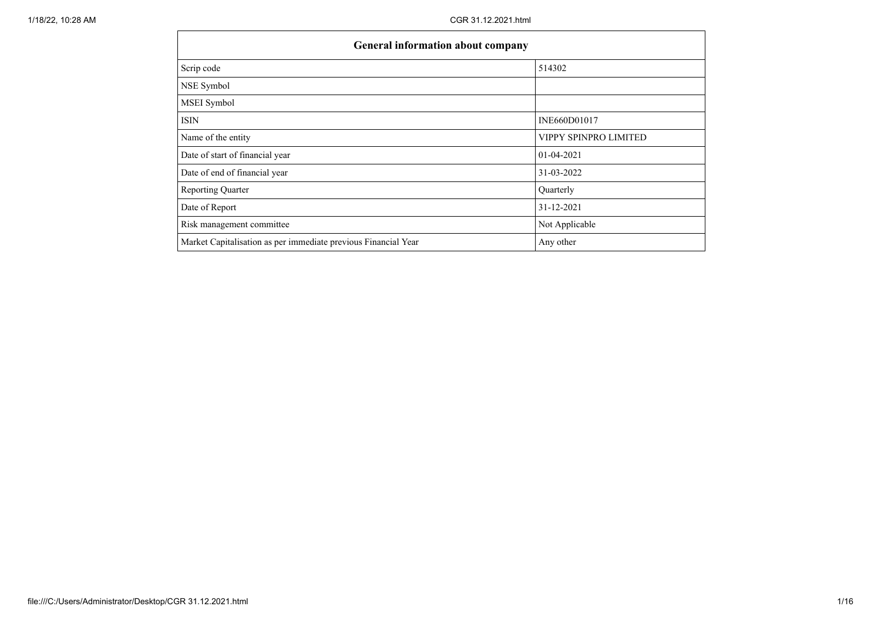| <b>General information about company</b>                       |                       |  |  |  |  |  |  |
|----------------------------------------------------------------|-----------------------|--|--|--|--|--|--|
| Scrip code                                                     | 514302                |  |  |  |  |  |  |
| NSE Symbol                                                     |                       |  |  |  |  |  |  |
| MSEI Symbol                                                    |                       |  |  |  |  |  |  |
| <b>ISIN</b>                                                    | INE660D01017          |  |  |  |  |  |  |
| Name of the entity                                             | VIPPY SPINPRO LIMITED |  |  |  |  |  |  |
| Date of start of financial year                                | $01 - 04 - 2021$      |  |  |  |  |  |  |
| Date of end of financial year                                  | 31-03-2022            |  |  |  |  |  |  |
| <b>Reporting Quarter</b>                                       | Quarterly             |  |  |  |  |  |  |
| Date of Report                                                 | 31-12-2021            |  |  |  |  |  |  |
| Risk management committee                                      | Not Applicable        |  |  |  |  |  |  |
| Market Capitalisation as per immediate previous Financial Year | Any other             |  |  |  |  |  |  |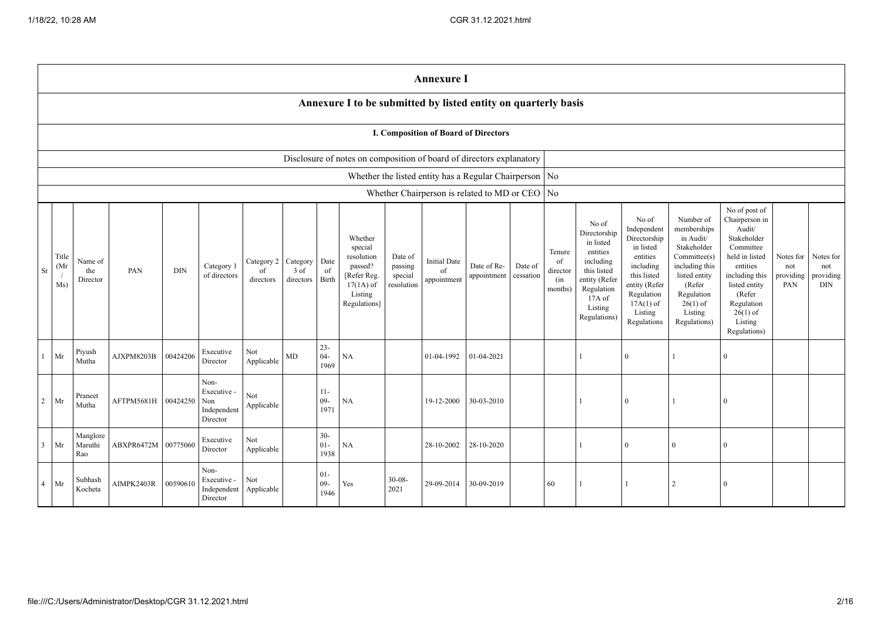|                |                                                                      |                            |                     |            |                                                       |                               |                               |                          |                                                                                                      |                                             | <b>Annexure I</b>                                        |                            |                      |                                            |                                                                                                                                                |                                                                                                                                                                   |                                                                                                                                                                          |                                                                                                                                                                                                         |                                      |                                             |
|----------------|----------------------------------------------------------------------|----------------------------|---------------------|------------|-------------------------------------------------------|-------------------------------|-------------------------------|--------------------------|------------------------------------------------------------------------------------------------------|---------------------------------------------|----------------------------------------------------------|----------------------------|----------------------|--------------------------------------------|------------------------------------------------------------------------------------------------------------------------------------------------|-------------------------------------------------------------------------------------------------------------------------------------------------------------------|--------------------------------------------------------------------------------------------------------------------------------------------------------------------------|---------------------------------------------------------------------------------------------------------------------------------------------------------------------------------------------------------|--------------------------------------|---------------------------------------------|
|                |                                                                      |                            |                     |            |                                                       |                               |                               |                          | Annexure I to be submitted by listed entity on quarterly basis                                       |                                             |                                                          |                            |                      |                                            |                                                                                                                                                |                                                                                                                                                                   |                                                                                                                                                                          |                                                                                                                                                                                                         |                                      |                                             |
|                | I. Composition of Board of Directors                                 |                            |                     |            |                                                       |                               |                               |                          |                                                                                                      |                                             |                                                          |                            |                      |                                            |                                                                                                                                                |                                                                                                                                                                   |                                                                                                                                                                          |                                                                                                                                                                                                         |                                      |                                             |
|                | Disclosure of notes on composition of board of directors explanatory |                            |                     |            |                                                       |                               |                               |                          |                                                                                                      |                                             |                                                          |                            |                      |                                            |                                                                                                                                                |                                                                                                                                                                   |                                                                                                                                                                          |                                                                                                                                                                                                         |                                      |                                             |
|                |                                                                      |                            |                     |            |                                                       |                               |                               |                          |                                                                                                      |                                             | Whether the listed entity has a Regular Chairperson   No |                            |                      |                                            |                                                                                                                                                |                                                                                                                                                                   |                                                                                                                                                                          |                                                                                                                                                                                                         |                                      |                                             |
|                |                                                                      |                            |                     |            |                                                       |                               |                               |                          |                                                                                                      |                                             | Whether Chairperson is related to MD or CEO No           |                            |                      |                                            |                                                                                                                                                |                                                                                                                                                                   |                                                                                                                                                                          |                                                                                                                                                                                                         |                                      |                                             |
| Sr             | Title<br>(Mr)<br>Ms)                                                 | Name of<br>the<br>Director | PAN                 | <b>DIN</b> | Category 1<br>of directors                            | Category 2<br>of<br>directors | Category<br>3 of<br>directors | Date<br>of<br>Birth      | Whether<br>special<br>resolution<br>passed?<br>[Refer Reg.<br>$17(1A)$ of<br>Listing<br>Regulations] | Date of<br>passing<br>special<br>resolution | <b>Initial Date</b><br>of<br>appointment                 | Date of Re-<br>appointment | Date of<br>cessation | Tenure<br>of<br>director<br>(in<br>months) | No of<br>Directorship<br>in listed<br>entities<br>including<br>this listed<br>entity (Refer<br>Regulation<br>17A of<br>Listing<br>Regulations) | No of<br>Independent<br>Directorship<br>in listed<br>entities<br>including<br>this listed<br>entity (Refer<br>Regulation<br>$17A(1)$ of<br>Listing<br>Regulations | Number of<br>memberships<br>in Audit/<br>Stakeholder<br>Committee(s)<br>including this<br>listed entity<br>(Refer<br>Regulation<br>$26(1)$ of<br>Listing<br>Regulations) | No of post of<br>Chairperson in<br>Audit/<br>Stakeholder<br>Committee<br>held in listed<br>entities<br>including this<br>listed entity<br>(Refer<br>Regulation<br>$26(1)$ of<br>Listing<br>Regulations) | Notes for<br>not<br>providing<br>PAN | Notes for<br>not<br>providing<br><b>DIN</b> |
|                | Mr                                                                   | Piyush<br>Mutha            | AJXPM8203B          | 00424206   | Executive<br>Director                                 | Not<br>Applicable             | $\rm MD$                      | $23 -$<br>$04 -$<br>1969 | NA                                                                                                   |                                             | 01-04-1992                                               | 01-04-2021                 |                      |                                            |                                                                                                                                                | $\overline{0}$                                                                                                                                                    |                                                                                                                                                                          | $\Omega$                                                                                                                                                                                                |                                      |                                             |
| $\overline{2}$ | Mr                                                                   | Praneet<br>Mutha           | AFTPM5681H 00424250 |            | Non-<br>Executive -<br>Non<br>Independent<br>Director | Not<br>Applicable             |                               | $11-$<br>$09 -$<br>1971  | NA                                                                                                   |                                             | 19-12-2000                                               | 30-03-2010                 |                      |                                            |                                                                                                                                                | $\overline{0}$                                                                                                                                                    |                                                                                                                                                                          | $\Omega$                                                                                                                                                                                                |                                      |                                             |
| $\overline{3}$ | Mr                                                                   | Manglore<br>Maruthi<br>Rao | ABXPR6472M 00775060 |            | Executive<br>Director                                 | Not<br>Applicable             |                               | $30 -$<br>$01 -$<br>1938 | NA                                                                                                   |                                             | 28-10-2002                                               | 28-10-2020                 |                      |                                            |                                                                                                                                                | $\theta$                                                                                                                                                          | $\Omega$                                                                                                                                                                 | $\Omega$                                                                                                                                                                                                |                                      |                                             |
| $\overline{4}$ | Mr                                                                   | Subhash<br>Kocheta         | AIMPK2403R          | 00590610   | Non-<br>Executive -<br>Independent<br>Director        | Not<br>Applicable             |                               | $01 -$<br>$09 -$<br>1946 | Yes                                                                                                  | $30 - 08 -$<br>2021                         | 29-09-2014                                               | 30-09-2019                 |                      | 60                                         |                                                                                                                                                |                                                                                                                                                                   | $\overline{2}$                                                                                                                                                           | $\Omega$                                                                                                                                                                                                |                                      |                                             |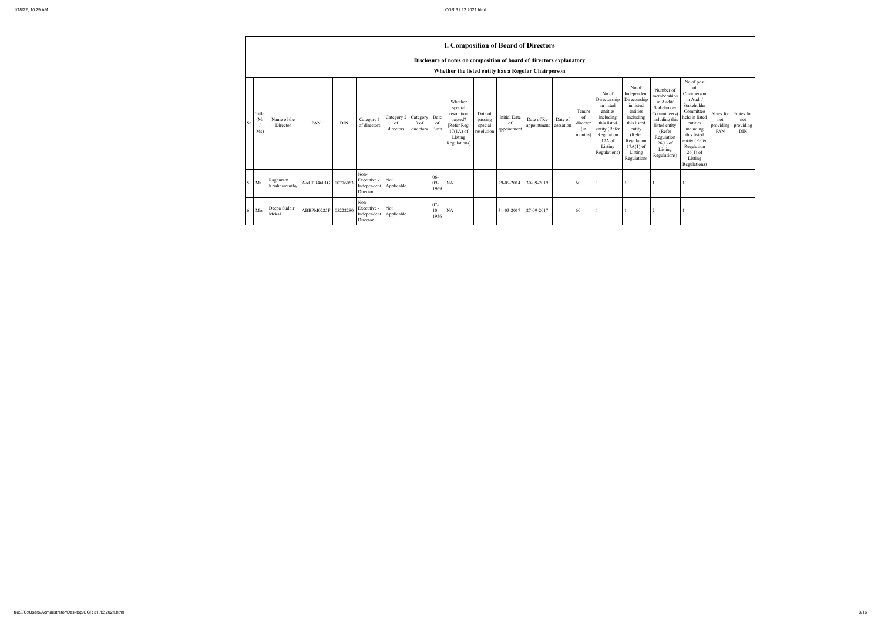|                | <b>I. Composition of Board of Directors</b>                          |                           |                     |            |                                                |                               |                               |                         |                                                                                                      |                                             |                                          |                            |                      |                                             |                                                                                                                                                |                                                                                                                                                                      |                                                                                                                                                                          |                                                                                                                                                                                                            |                                      |                                             |
|----------------|----------------------------------------------------------------------|---------------------------|---------------------|------------|------------------------------------------------|-------------------------------|-------------------------------|-------------------------|------------------------------------------------------------------------------------------------------|---------------------------------------------|------------------------------------------|----------------------------|----------------------|---------------------------------------------|------------------------------------------------------------------------------------------------------------------------------------------------|----------------------------------------------------------------------------------------------------------------------------------------------------------------------|--------------------------------------------------------------------------------------------------------------------------------------------------------------------------|------------------------------------------------------------------------------------------------------------------------------------------------------------------------------------------------------------|--------------------------------------|---------------------------------------------|
|                | Disclosure of notes on composition of board of directors explanatory |                           |                     |            |                                                |                               |                               |                         |                                                                                                      |                                             |                                          |                            |                      |                                             |                                                                                                                                                |                                                                                                                                                                      |                                                                                                                                                                          |                                                                                                                                                                                                            |                                      |                                             |
|                | Whether the listed entity has a Regular Chairperson                  |                           |                     |            |                                                |                               |                               |                         |                                                                                                      |                                             |                                          |                            |                      |                                             |                                                                                                                                                |                                                                                                                                                                      |                                                                                                                                                                          |                                                                                                                                                                                                            |                                      |                                             |
| <b>Sr</b>      | Title<br>(Mr)<br>Ms)                                                 | Name of the<br>Director   | PAN                 | <b>DIN</b> | Category 1<br>of directors                     | Category 2<br>of<br>directors | Category<br>3 of<br>directors | Date<br>of<br>Birth     | Whether<br>special<br>resolution<br>passed?<br>[Refer Reg.<br>$17(1A)$ of<br>Listing<br>Regulations] | Date of<br>passing<br>special<br>resolution | <b>Initial Date</b><br>of<br>appointment | Date of Re-<br>appointment | Date of<br>cessation | Tenure<br>-of<br>director<br>(in<br>months) | No of<br>Directorship<br>in listed<br>entities<br>including<br>this listed<br>entity (Refer<br>Regulation<br>17A of<br>Listing<br>Regulations) | No of<br>Independent<br>Directorship<br>in listed<br>entities<br>including<br>this listed<br>entity<br>(Refer<br>Regulation<br>$17A(1)$ of<br>Listing<br>Regulations | Number of<br>memberships<br>in Audit/<br>Stakeholder<br>Committee(s)<br>including this<br>listed entity<br>(Refer<br>Regulation<br>$26(1)$ of<br>Listing<br>Regulations) | No of post<br>of<br>Chairperson<br>in Audit/<br>Stakeholder<br>Committee<br>held in listed<br>entities<br>including<br>this listed<br>entity (Refer<br>Regulation<br>$26(1)$ of<br>Listing<br>Regulations) | Notes for<br>not<br>providing<br>PAN | Notes for<br>not<br>providing<br><b>DIN</b> |
| 5 <sup>1</sup> | Mr                                                                   | Raghuram<br>Krishnamurthy | AACPR4601G 00776063 |            | Non-<br>Executive -<br>Independent<br>Director | Not<br>Applicable             |                               | $06 -$<br>09-<br>1969   | NA                                                                                                   |                                             | 29-09-2014                               | 30-09-2019                 |                      | -60                                         |                                                                                                                                                |                                                                                                                                                                      |                                                                                                                                                                          |                                                                                                                                                                                                            |                                      |                                             |
| 6              | Mrs                                                                  | Deepa Sudhir<br>Mekal     | ABBPM0225F 05222280 |            | Non-<br>Executive -<br>Independent<br>Director | Not<br>Applicable             |                               | $07 -$<br>$10-$<br>1956 | NA                                                                                                   |                                             | 31-03-2017                               | 27-09-2017                 |                      | 60                                          |                                                                                                                                                |                                                                                                                                                                      | 2                                                                                                                                                                        |                                                                                                                                                                                                            |                                      |                                             |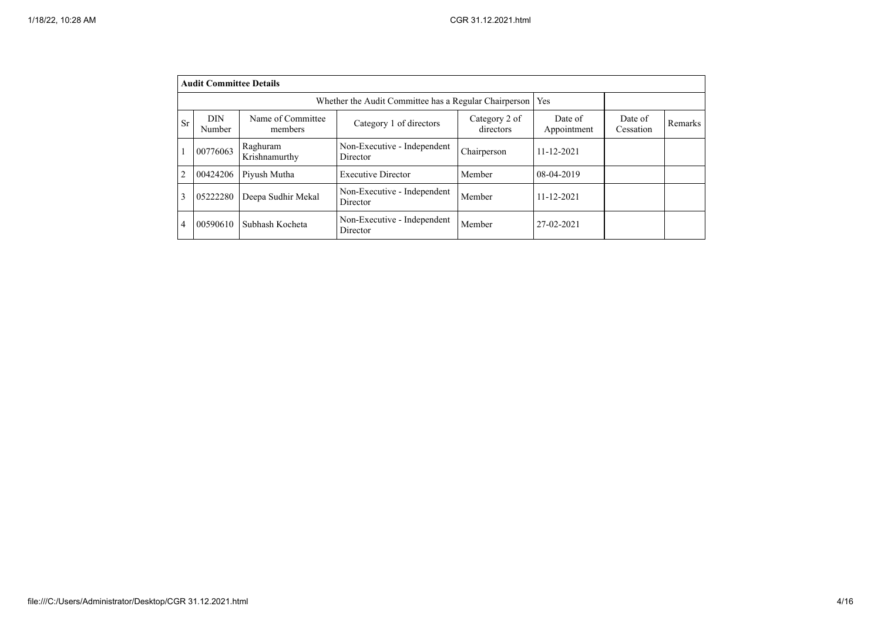|           | <b>Audit Committee Details</b> |                              |                                                       |                            |                        |                      |         |
|-----------|--------------------------------|------------------------------|-------------------------------------------------------|----------------------------|------------------------|----------------------|---------|
|           |                                |                              | Whether the Audit Committee has a Regular Chairperson |                            | Yes                    |                      |         |
| <b>Sr</b> | <b>DIN</b><br>Number           | Name of Committee<br>members | Category 1 of directors                               | Category 2 of<br>directors | Date of<br>Appointment | Date of<br>Cessation | Remarks |
|           | 00776063                       | Raghuram<br>Krishnamurthy    | Non-Executive - Independent<br>Director               | Chairperson                | $11 - 12 - 2021$       |                      |         |
| 2         | 00424206                       | Piyush Mutha                 | <b>Executive Director</b>                             | Member                     | 08-04-2019             |                      |         |
| 3         | 05222280                       | Deepa Sudhir Mekal           | Non-Executive - Independent<br>Director               | Member                     | $11 - 12 - 2021$       |                      |         |
| 4         | 00590610                       | Subhash Kocheta              | Non-Executive - Independent<br>Director               | Member                     | 27-02-2021             |                      |         |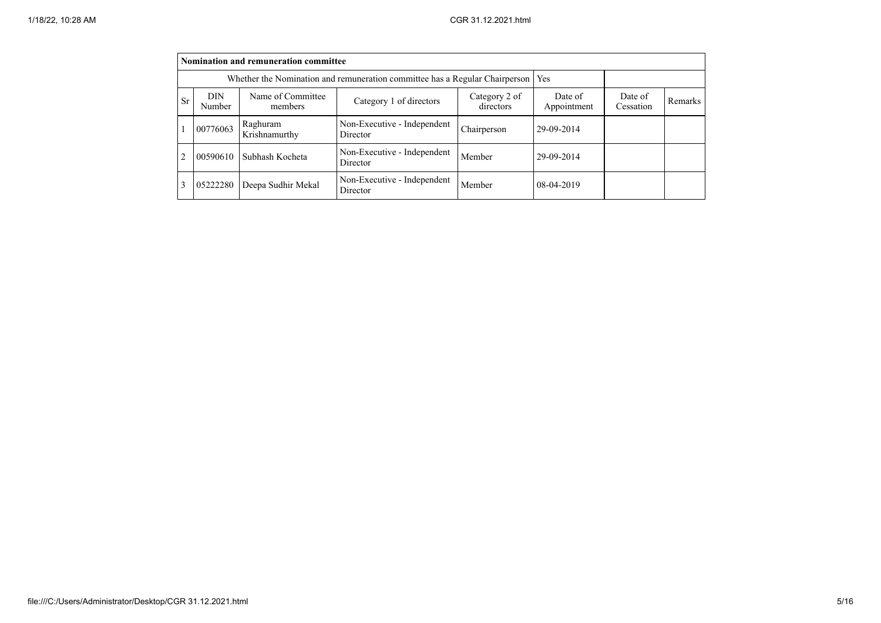|                | Nomination and remuneration committee                                       |                              |                                         |                        |                      |         |  |  |  |  |
|----------------|-----------------------------------------------------------------------------|------------------------------|-----------------------------------------|------------------------|----------------------|---------|--|--|--|--|
|                | Whether the Nomination and remuneration committee has a Regular Chairperson | Yes                          |                                         |                        |                      |         |  |  |  |  |
| <b>Sr</b>      | <b>DIN</b><br>Number                                                        | Name of Committee<br>members | Category 2 of<br>directors              | Date of<br>Appointment | Date of<br>Cessation | Remarks |  |  |  |  |
|                | 00776063                                                                    | Raghuram<br>Krishnamurthy    | Non-Executive - Independent<br>Director | Chairperson            | 29-09-2014           |         |  |  |  |  |
| $\overline{c}$ | 00590610                                                                    | Subhash Kocheta              | Non-Executive - Independent<br>Director | Member                 | 29-09-2014           |         |  |  |  |  |
| 3              | 05222280                                                                    | Deepa Sudhir Mekal           | Non-Executive - Independent<br>Director | Member                 | 08-04-2019           |         |  |  |  |  |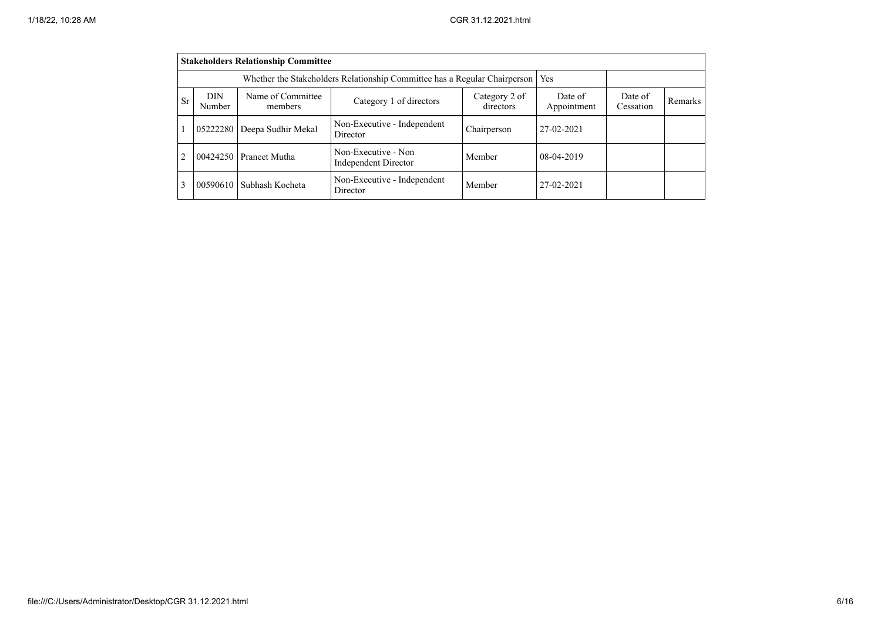|               |                      | <b>Stakeholders Relationship Committee</b> |                                                                                 |                      |            |  |  |
|---------------|----------------------|--------------------------------------------|---------------------------------------------------------------------------------|----------------------|------------|--|--|
|               |                      |                                            | Whether the Stakeholders Relationship Committee has a Regular Chairperson   Yes |                      |            |  |  |
| <b>Sr</b>     | <b>DIN</b><br>Number | Name of Committee<br>members               | Date of<br>Appointment                                                          | Date of<br>Cessation | Remarks    |  |  |
|               | 05222280             | Deepa Sudhir Mekal                         | Non-Executive - Independent<br>Director                                         | Chairperson          | 27-02-2021 |  |  |
| $\mathcal{L}$ | 00424250             | <b>Praneet Mutha</b>                       | Non-Executive - Non<br><b>Independent Director</b>                              | Member               | 08-04-2019 |  |  |
| 3             | 00590610             | Subhash Kocheta                            | Non-Executive - Independent<br>Director                                         | Member               | 27-02-2021 |  |  |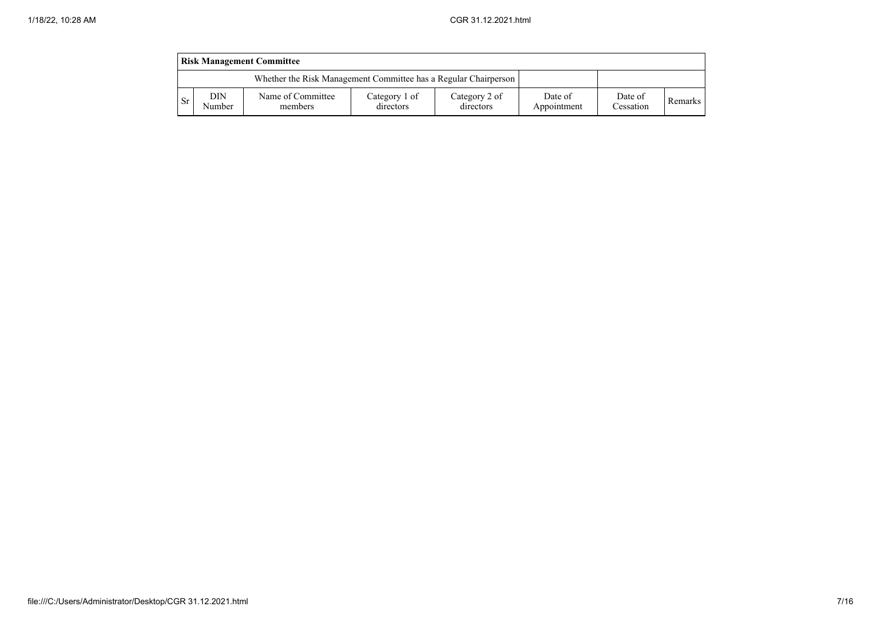|      | <b>Risk Management Committee</b>                                |                              |                            |                            |                        |                      |                |  |  |
|------|-----------------------------------------------------------------|------------------------------|----------------------------|----------------------------|------------------------|----------------------|----------------|--|--|
|      | Whether the Risk Management Committee has a Regular Chairperson |                              |                            |                            |                        |                      |                |  |  |
| l Sr | DIN<br>Number                                                   | Name of Committee<br>members | Category 1 of<br>directors | Category 2 of<br>directors | Date of<br>Appointment | Date of<br>Cessation | <b>Remarks</b> |  |  |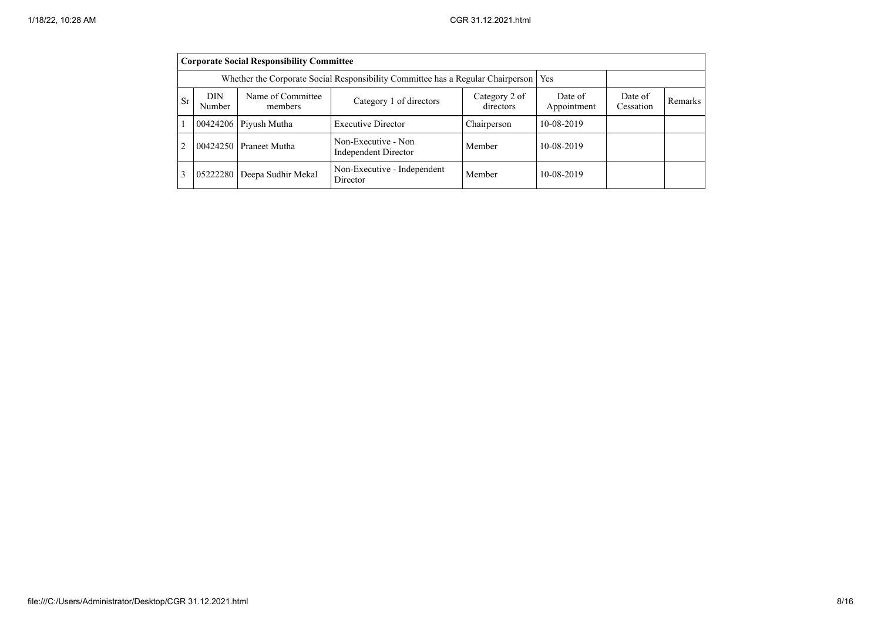|                | <b>Corporate Social Responsibility Committee</b> |                                                                                       |                                             |                      |                |  |  |  |  |
|----------------|--------------------------------------------------|---------------------------------------------------------------------------------------|---------------------------------------------|----------------------|----------------|--|--|--|--|
|                |                                                  | Whether the Corporate Social Responsibility Committee has a Regular Chairperson   Yes |                                             |                      |                |  |  |  |  |
| Sr             | DIN<br>Number                                    | Name of Committee<br>members                                                          | Date of<br>Appointment                      | Date of<br>Cessation | <b>Remarks</b> |  |  |  |  |
|                |                                                  | 00424206 Piyush Mutha                                                                 | <b>Executive Director</b>                   | Chairperson          | 10-08-2019     |  |  |  |  |
| $\overline{2}$ |                                                  | 00424250 Praneet Mutha                                                                | Non-Executive - Non<br>Independent Director | Member               | 10-08-2019     |  |  |  |  |
| 3              |                                                  | 05222280 Deepa Sudhir Mekal                                                           | Non-Executive - Independent<br>Director     | Member               | 10-08-2019     |  |  |  |  |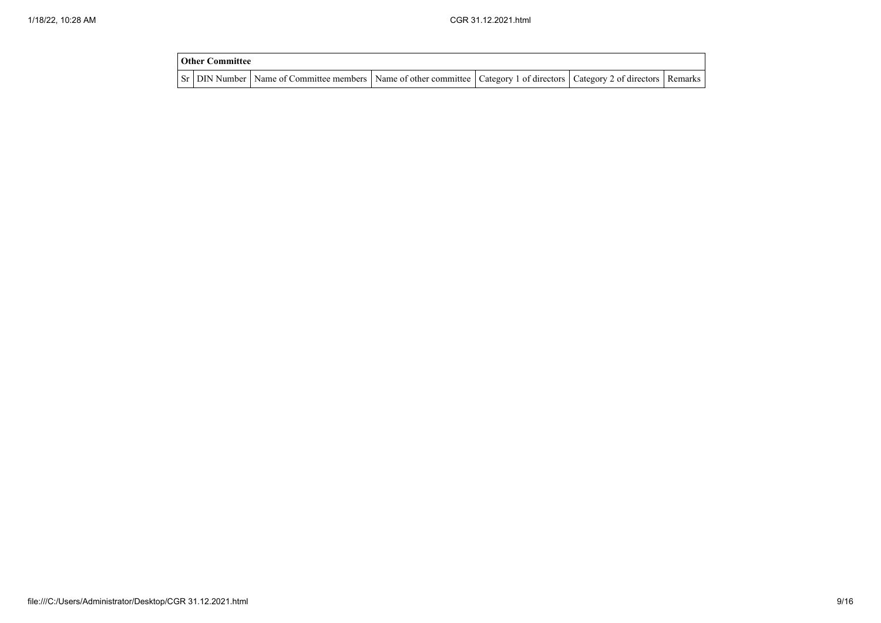| <b>Other Committee</b> |                                                                                                                                     |  |  |
|------------------------|-------------------------------------------------------------------------------------------------------------------------------------|--|--|
|                        | Sr   DIN Number   Name of Committee members   Name of other committee   Category 1 of directors   Category 2 of directors   Remarks |  |  |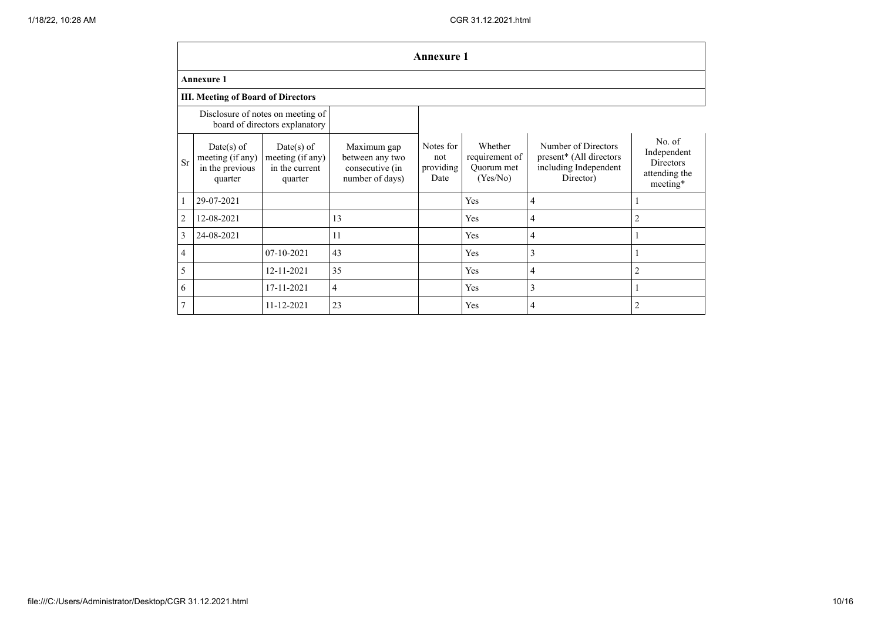|                |                                                                |                                                                     |                                                                      | <b>Annexure 1</b>                     |                                                     |                                                                                      |                                                                        |
|----------------|----------------------------------------------------------------|---------------------------------------------------------------------|----------------------------------------------------------------------|---------------------------------------|-----------------------------------------------------|--------------------------------------------------------------------------------------|------------------------------------------------------------------------|
|                | <b>Annexure 1</b>                                              |                                                                     |                                                                      |                                       |                                                     |                                                                                      |                                                                        |
|                | <b>III. Meeting of Board of Directors</b>                      |                                                                     |                                                                      |                                       |                                                     |                                                                                      |                                                                        |
|                |                                                                | Disclosure of notes on meeting of<br>board of directors explanatory |                                                                      |                                       |                                                     |                                                                                      |                                                                        |
| Sr             | $Date(s)$ of<br>meeting (if any)<br>in the previous<br>quarter | $Date(s)$ of<br>meeting (if any)<br>in the current<br>quarter       | Maximum gap<br>between any two<br>consecutive (in<br>number of days) | Notes for<br>not<br>providing<br>Date | Whether<br>requirement of<br>Quorum met<br>(Yes/No) | Number of Directors<br>present* (All directors<br>including Independent<br>Director) | No. of<br>Independent<br><b>Directors</b><br>attending the<br>meeting* |
| 1              | 29-07-2021                                                     |                                                                     |                                                                      |                                       | Yes                                                 | 4                                                                                    |                                                                        |
| $\overline{2}$ | 12-08-2021                                                     |                                                                     | 13                                                                   |                                       | Yes                                                 | 4                                                                                    | $\overline{c}$                                                         |
| 3              | 24-08-2021                                                     |                                                                     | 11                                                                   |                                       | Yes                                                 | 4                                                                                    |                                                                        |
| $\overline{4}$ |                                                                | 07-10-2021                                                          | 43                                                                   |                                       | Yes                                                 | 3                                                                                    |                                                                        |
| 5              |                                                                | 12-11-2021                                                          | 35                                                                   |                                       | Yes                                                 | 4                                                                                    | 2                                                                      |
| 6              |                                                                | 17-11-2021                                                          | $\overline{4}$                                                       |                                       | Yes                                                 | 3                                                                                    |                                                                        |
| $\overline{7}$ |                                                                | 11-12-2021                                                          | 23                                                                   |                                       | Yes                                                 | 4                                                                                    | $\overline{2}$                                                         |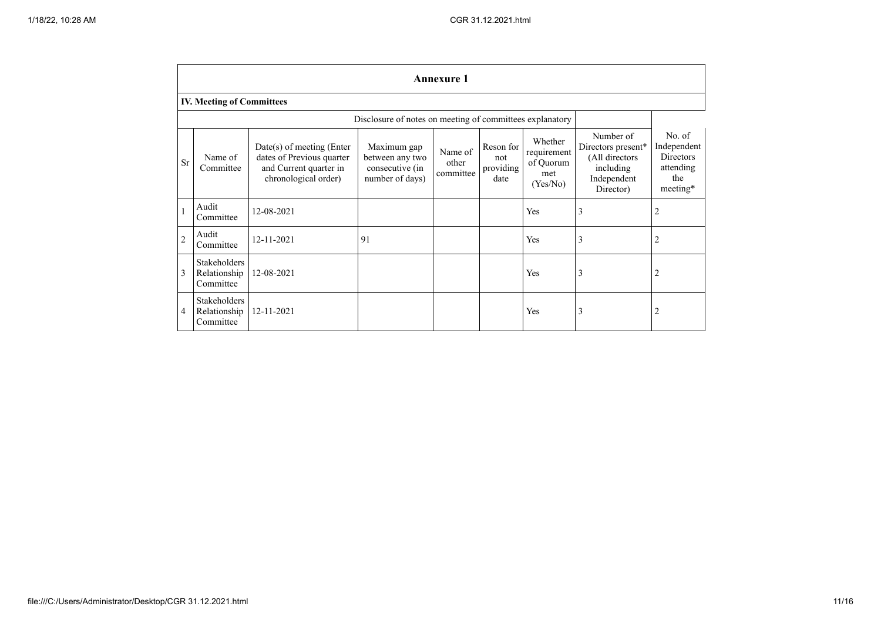|                | <b>Annexure 1</b>                                |                                                                                                            |                                                                      |                               |                                       |                                                        |                                                                                            |                                                                           |  |
|----------------|--------------------------------------------------|------------------------------------------------------------------------------------------------------------|----------------------------------------------------------------------|-------------------------------|---------------------------------------|--------------------------------------------------------|--------------------------------------------------------------------------------------------|---------------------------------------------------------------------------|--|
|                | <b>IV. Meeting of Committees</b>                 |                                                                                                            |                                                                      |                               |                                       |                                                        |                                                                                            |                                                                           |  |
|                |                                                  |                                                                                                            | Disclosure of notes on meeting of committees explanatory             |                               |                                       |                                                        |                                                                                            |                                                                           |  |
| Sr             | Name of<br>Committee                             | $Date(s)$ of meeting (Enter<br>dates of Previous quarter<br>and Current quarter in<br>chronological order) | Maximum gap<br>between any two<br>consecutive (in<br>number of days) | Name of<br>other<br>committee | Reson for<br>not<br>providing<br>date | Whether<br>requirement<br>of Quorum<br>met<br>(Yes/No) | Number of<br>Directors present*<br>(All directors<br>including<br>Independent<br>Director) | No. of<br>Independent<br><b>Directors</b><br>attending<br>the<br>meeting* |  |
|                | Audit<br>Committee                               | 12-08-2021                                                                                                 |                                                                      |                               |                                       | Yes                                                    | 3                                                                                          |                                                                           |  |
| $\overline{2}$ | Audit<br>Committee                               | 12-11-2021                                                                                                 | 91                                                                   |                               |                                       | Yes                                                    | 3                                                                                          | 2                                                                         |  |
| 3              | Stakeholders<br>Relationship<br>Committee        | 12-08-2021                                                                                                 |                                                                      |                               |                                       | <b>Yes</b>                                             | $\overline{3}$                                                                             | 2                                                                         |  |
| 4              | <b>Stakeholders</b><br>Relationship<br>Committee | 12-11-2021                                                                                                 |                                                                      |                               |                                       | Yes                                                    | 3                                                                                          | 2                                                                         |  |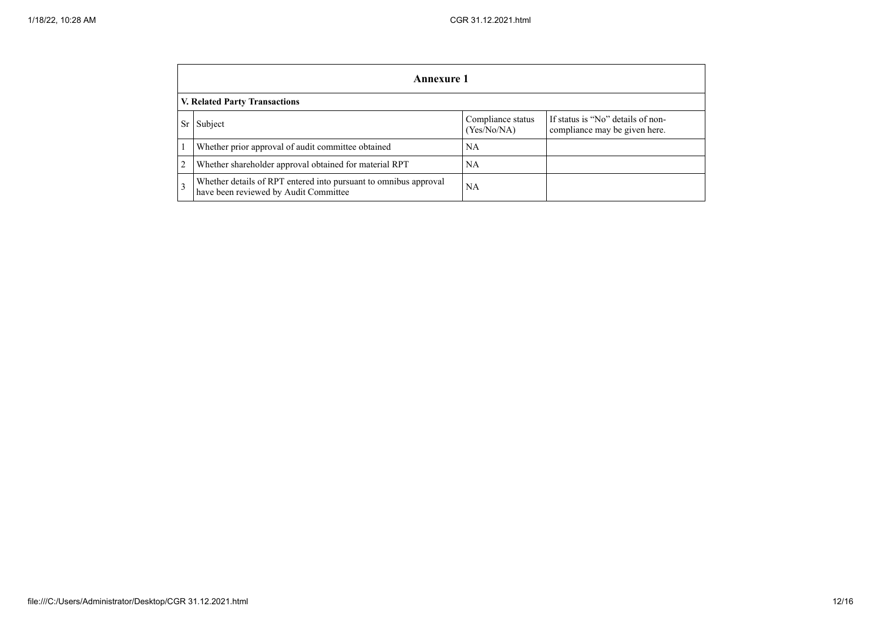|                | Annexure 1                                                                                                        |           |  |  |  |  |  |  |  |
|----------------|-------------------------------------------------------------------------------------------------------------------|-----------|--|--|--|--|--|--|--|
|                | V. Related Party Transactions                                                                                     |           |  |  |  |  |  |  |  |
| <b>Sr</b>      | If status is "No" details of non-<br>Compliance status<br>Subject<br>(Yes/No/NA)<br>compliance may be given here. |           |  |  |  |  |  |  |  |
|                | Whether prior approval of audit committee obtained                                                                | <b>NA</b> |  |  |  |  |  |  |  |
| $\overline{2}$ | Whether shareholder approval obtained for material RPT                                                            | NA        |  |  |  |  |  |  |  |
| $\overline{3}$ | Whether details of RPT entered into pursuant to omnibus approval<br>have been reviewed by Audit Committee         | <b>NA</b> |  |  |  |  |  |  |  |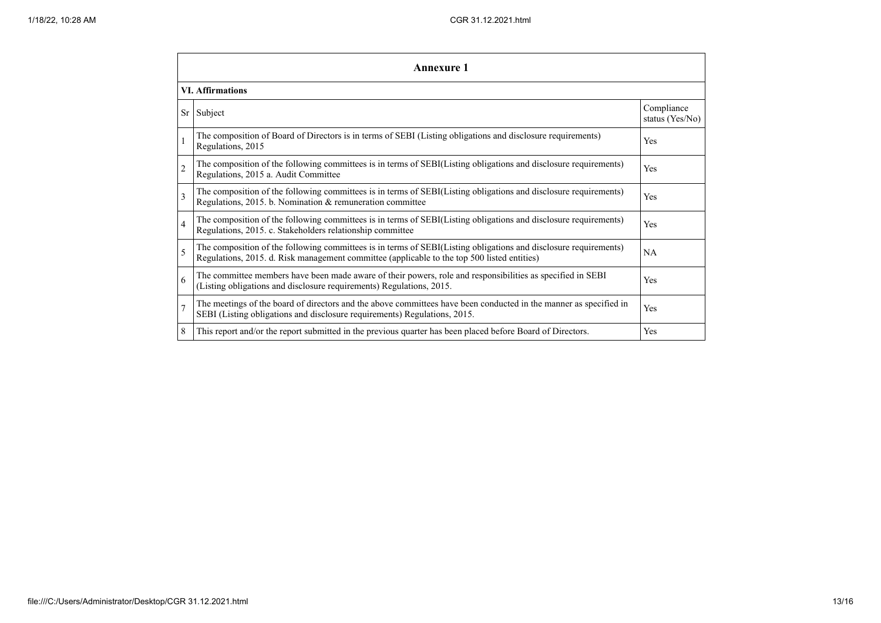| Annexure 1              |                                                                                                                                                                                                                 |                               |  |  |
|-------------------------|-----------------------------------------------------------------------------------------------------------------------------------------------------------------------------------------------------------------|-------------------------------|--|--|
| <b>VI.</b> Affirmations |                                                                                                                                                                                                                 |                               |  |  |
|                         | Sr Subject                                                                                                                                                                                                      | Compliance<br>status (Yes/No) |  |  |
| $\mathbf{1}$            | The composition of Board of Directors is in terms of SEBI (Listing obligations and disclosure requirements)<br>Regulations, 2015                                                                                | Yes                           |  |  |
| $\overline{2}$          | The composition of the following committees is in terms of SEBI(Listing obligations and disclosure requirements)<br>Regulations, 2015 a. Audit Committee                                                        | Yes                           |  |  |
| 3                       | The composition of the following committees is in terms of SEBI(Listing obligations and disclosure requirements)<br>Regulations, 2015. b. Nomination & remuneration committee                                   | Yes                           |  |  |
| $\overline{4}$          | The composition of the following committees is in terms of SEBI(Listing obligations and disclosure requirements)<br>Regulations, 2015. c. Stakeholders relationship committee                                   | Yes                           |  |  |
| 5                       | The composition of the following committees is in terms of SEBI(Listing obligations and disclosure requirements)<br>Regulations, 2015. d. Risk management committee (applicable to the top 500 listed entities) | <b>NA</b>                     |  |  |
| 6                       | The committee members have been made aware of their powers, role and responsibilities as specified in SEBI<br>(Listing obligations and disclosure requirements) Regulations, 2015.                              | Yes                           |  |  |
| $\overline{7}$          | The meetings of the board of directors and the above committees have been conducted in the manner as specified in<br>SEBI (Listing obligations and disclosure requirements) Regulations, 2015.                  | Yes                           |  |  |
| 8                       | This report and/or the report submitted in the previous quarter has been placed before Board of Directors.                                                                                                      | Yes                           |  |  |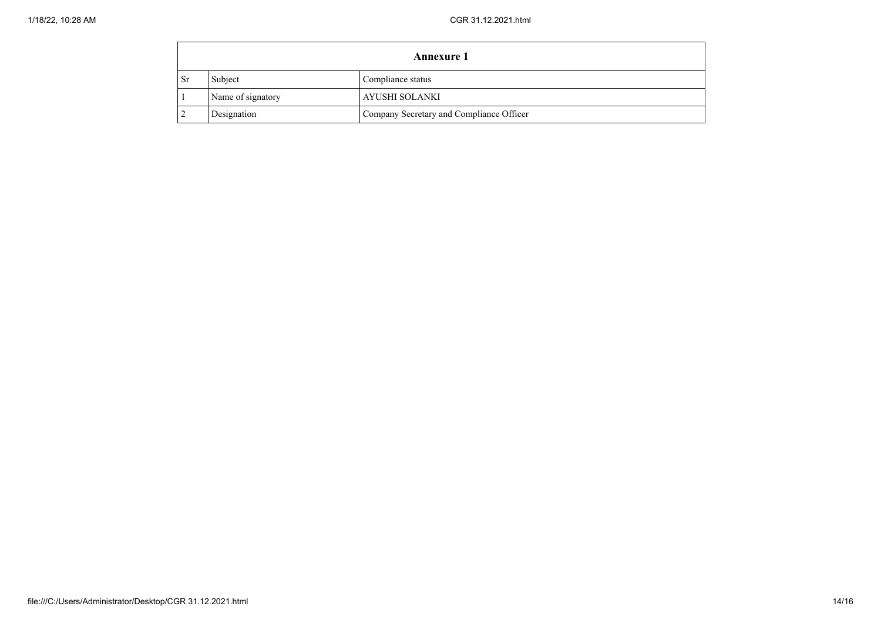| Annexure 1 |                   |                                          |  |
|------------|-------------------|------------------------------------------|--|
| ı Sr       | Subject           | Compliance status                        |  |
|            | Name of signatory | AYUSHI SOLANKI                           |  |
|            | Designation       | Company Secretary and Compliance Officer |  |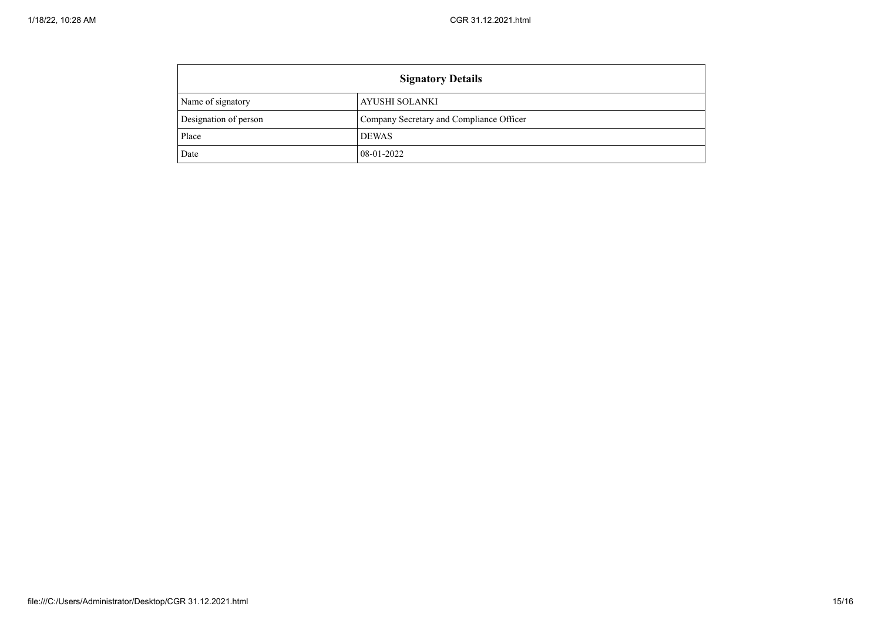| <b>Signatory Details</b> |                                          |  |
|--------------------------|------------------------------------------|--|
| Name of signatory        | AYUSHI SOLANKI                           |  |
| Designation of person    | Company Secretary and Compliance Officer |  |
| Place                    | <b>DEWAS</b>                             |  |
| Date                     | 08-01-2022                               |  |